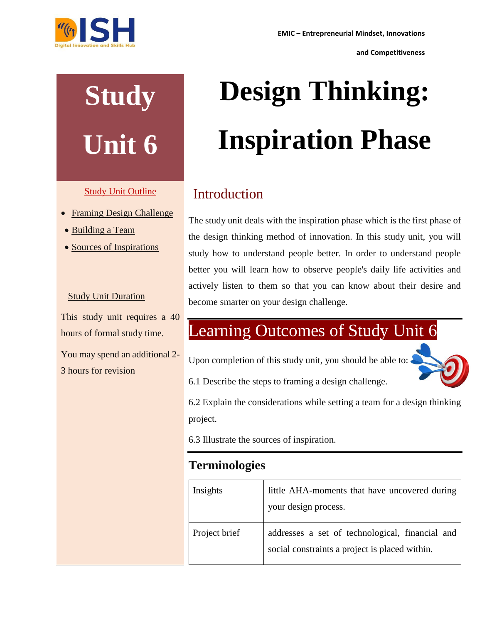

**Study** 

**Unit 6**

Study Unit Outline

• Framing Design Challenge

• Sources of Inspirations

Study Unit Duration

This study unit requires a 40

You may spend an additional 2-

hours of formal study time.

3 hours for revision

Building a Team

**and Competitiveness**

# **Design Thinking: Inspiration Phase**

## Introduction

The study unit deals with the inspiration phase which is the first phase of the design thinking method of innovation. In this study unit, you will study how to understand people better. In order to understand people better you will learn how to observe people's daily life activities and actively listen to them so that you can know about their desire and become smarter on your design challenge.

# Learning Outcomes of Study Unit 6

Upon completion of this study unit, you should be able to:



6.1 Describe the steps to framing a design challenge.

6.2 Explain the considerations while setting a team for a design thinking project.

6.3 Illustrate the sources of inspiration.

### **Terminologies**

| Insights      | little AHA-moments that have uncovered during<br>your design process.                             |
|---------------|---------------------------------------------------------------------------------------------------|
| Project brief | addresses a set of technological, financial and<br>social constraints a project is placed within. |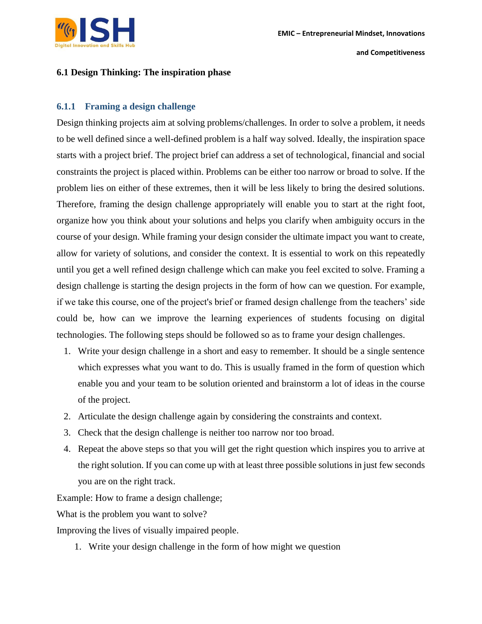

#### **6.1 Design Thinking: The inspiration phase**

#### **6.1.1 Framing a design challenge**

Design thinking projects aim at solving problems/challenges. In order to solve a problem, it needs to be well defined since a well-defined problem is a half way solved. Ideally, the inspiration space starts with a project brief. The project brief can address a set of technological, financial and social constraints the project is placed within. Problems can be either too narrow or broad to solve. If the problem lies on either of these extremes, then it will be less likely to bring the desired solutions. Therefore, framing the design challenge appropriately will enable you to start at the right foot, organize how you think about your solutions and helps you clarify when ambiguity occurs in the course of your design. While framing your design consider the ultimate impact you want to create, allow for variety of solutions, and consider the context. It is essential to work on this repeatedly until you get a well refined design challenge which can make you feel excited to solve. Framing a design challenge is starting the design projects in the form of how can we question. For example, if we take this course, one of the project's brief or framed design challenge from the teachers' side could be, how can we improve the learning experiences of students focusing on digital technologies. The following steps should be followed so as to frame your design challenges.

- 1. Write your design challenge in a short and easy to remember. It should be a single sentence which expresses what you want to do. This is usually framed in the form of question which enable you and your team to be solution oriented and brainstorm a lot of ideas in the course of the project.
- 2. Articulate the design challenge again by considering the constraints and context.
- 3. Check that the design challenge is neither too narrow nor too broad.
- 4. Repeat the above steps so that you will get the right question which inspires you to arrive at the right solution. If you can come up with at least three possible solutions in just few seconds you are on the right track.

Example: How to frame a design challenge;

What is the problem you want to solve?

Improving the lives of visually impaired people.

1. Write your design challenge in the form of how might we question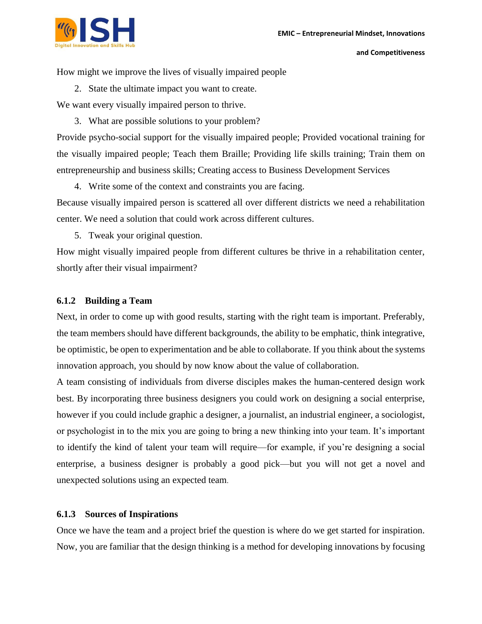

How might we improve the lives of visually impaired people

2. State the ultimate impact you want to create.

We want every visually impaired person to thrive.

3. What are possible solutions to your problem?

Provide psycho-social support for the visually impaired people; Provided vocational training for the visually impaired people; Teach them Braille; Providing life skills training; Train them on entrepreneurship and business skills; Creating access to Business Development Services

4. Write some of the context and constraints you are facing.

Because visually impaired person is scattered all over different districts we need a rehabilitation center. We need a solution that could work across different cultures.

5. Tweak your original question.

How might visually impaired people from different cultures be thrive in a rehabilitation center, shortly after their visual impairment?

#### **6.1.2 Building a Team**

Next, in order to come up with good results, starting with the right team is important. Preferably, the team members should have different backgrounds, the ability to be emphatic, think integrative, be optimistic, be open to experimentation and be able to collaborate. If you think about the systems innovation approach, you should by now know about the value of collaboration.

A team consisting of individuals from diverse disciples makes the human-centered design work best. By incorporating three business designers you could work on designing a social enterprise, however if you could include graphic a designer, a journalist, an industrial engineer, a sociologist, or psychologist in to the mix you are going to bring a new thinking into your team. It's important to identify the kind of talent your team will require—for example, if you're designing a social enterprise, a business designer is probably a good pick—but you will not get a novel and unexpected solutions using an expected team.

#### **6.1.3 Sources of Inspirations**

Once we have the team and a project brief the question is where do we get started for inspiration. Now, you are familiar that the design thinking is a method for developing innovations by focusing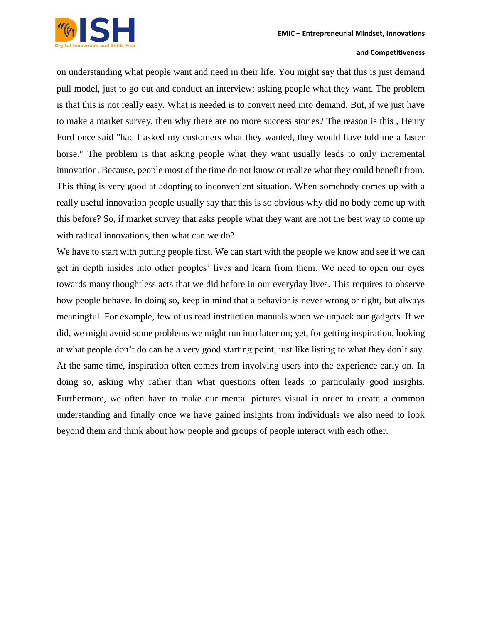

on understanding what people want and need in their life. You might say that this is just demand pull model, just to go out and conduct an interview; asking people what they want. The problem is that this is not really easy. What is needed is to convert need into demand. But, if we just have to make a market survey, then why there are no more success stories? The reason is this , Henry Ford once said "had I asked my customers what they wanted, they would have told me a faster horse." The problem is that asking people what they want usually leads to only incremental innovation. Because, people most of the time do not know or realize what they could benefit from. This thing is very good at adopting to inconvenient situation. When somebody comes up with a really useful innovation people usually say that this is so obvious why did no body come up with this before? So, if market survey that asks people what they want are not the best way to come up with radical innovations, then what can we do?

We have to start with putting people first. We can start with the people we know and see if we can get in depth insides into other peoples' lives and learn from them. We need to open our eyes towards many thoughtless acts that we did before in our everyday lives. This requires to observe how people behave. In doing so, keep in mind that a behavior is never wrong or right, but always meaningful. For example, few of us read instruction manuals when we unpack our gadgets. If we did, we might avoid some problems we might run into latter on; yet, for getting inspiration, looking at what people don't do can be a very good starting point, just like listing to what they don't say. At the same time, inspiration often comes from involving users into the experience early on. In doing so, asking why rather than what questions often leads to particularly good insights. Furthermore, we often have to make our mental pictures visual in order to create a common understanding and finally once we have gained insights from individuals we also need to look beyond them and think about how people and groups of people interact with each other.